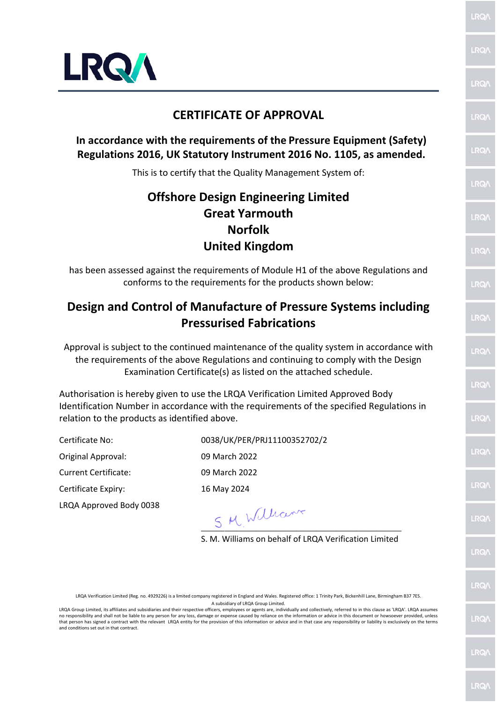

#### **CERTIFICATE OF APPROVAL**

#### **In accordance with the requirements of the Pressure Equipment (Safety) Regulations 2016, UK Statutory Instrument 2016 No. 1105, as amended.**

This is to certify that the Quality Management System of:

# **Offshore Design Engineering Limited Great Yarmouth Norfolk United Kingdom**

has been assessed against the requirements of Module H1 of the above Regulations and conforms to the requirements for the products shown below:

### **Design and Control of Manufacture of Pressure Systems including Pressurised Fabrications**

Approval is subject to the continued maintenance of the quality system in accordance with the requirements of the above Regulations and continuing to comply with the Design Examination Certificate(s) as listed on the attached schedule.

Authorisation is hereby given to use the LRQA Verification Limited Approved Body Identification Number in accordance with the requirements of the specified Regulations in relation to the products as identified above.

Certificate No: 0038/UK/PER/PRJ11100352702/2

Original Approval: 09 March 2022

Current Certificate: 09 March 2022

Certificate Expiry: 16 May 2024

LRQA Approved Body 0038

 $S$  M William

S. M. Williams on behalf of LRQA Verification Limited

LRQA Verification Limited (Reg. no. 4929226) is a limited company registered in England and Wales. Registered office: 1 Trinity Park, Bickenhill Lane, Birmingham B37 7ES. A subsidiary of LRQA Group Limited.

LRQA Group Limited, its affiliates and subsidiaries and their respective officers, employees or agents are, individually and collectively, referred to in this clause as 'LRQA'. LRQA assumes no responsibility and shall not be liable to any person for any loss, damage or expense caused by reliance on the information or advice in this document or howsoever provided, unless that person has signed a contract with the relevant LRQA entity for the provision of this information or advice and in that case any responsibility or liability is exclusively on the terms and conditions set out in that contract.

**RQ** 

LRO/

**RO/** 

**LRO/** 

LRO/

LRO)

LRQ/

LRQ/

LRQ/

LRO.

**LRO/** 

LRO/

**IRO** 

**LRO** 

LRQ

LRQ/

**LRQ** 

LROA

RO

LRO/

**LRQ**